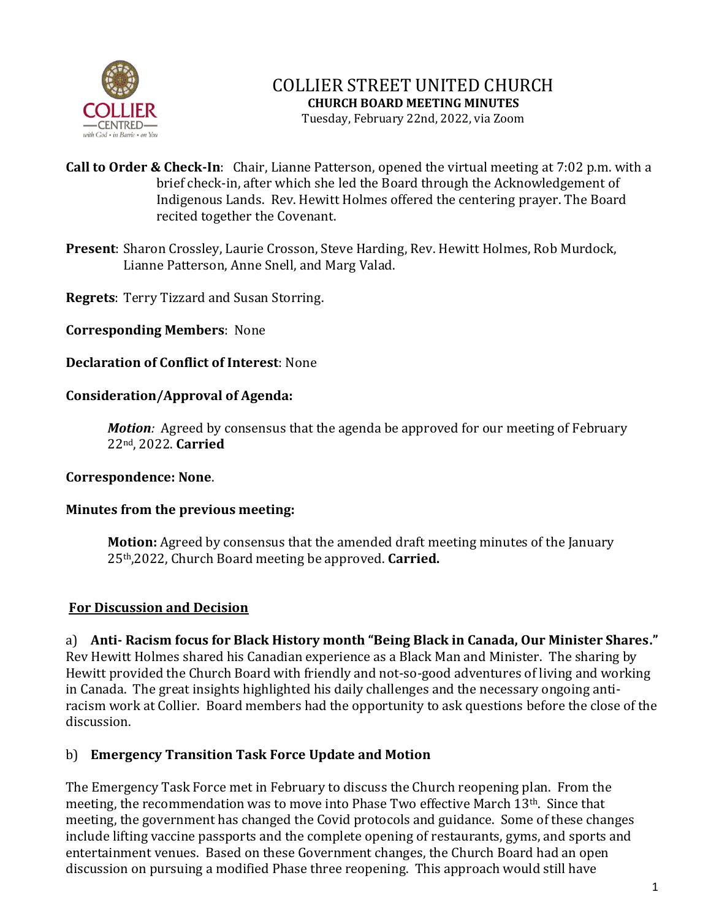

# COLLIER STREET UNITED CHURCH **CHURCH BOARD MEETING MINUTES**

Tuesday, February 22nd, 2022, via Zoom

- **Call to Order & Check-In**: Chair, Lianne Patterson, opened the virtual meeting at 7:02 p.m. with a brief check-in, after which she led the Board through the Acknowledgement of Indigenous Lands. Rev. Hewitt Holmes offered the centering prayer. The Board recited together the Covenant.
- **Present**: Sharon Crossley, Laurie Crosson, Steve Harding, Rev. Hewitt Holmes, Rob Murdock, Lianne Patterson, Anne Snell, and Marg Valad.

**Regrets**: Terry Tizzard and Susan Storring.

**Corresponding Members**: None

## **Declaration of Conflict of Interest**: None

## **Consideration/Approval of Agenda:**

*Motion:* Agreed by consensus that the agenda be approved for our meeting of February 22nd, 2022. **Carried**

### **Correspondence: None**.

### **Minutes from the previous meeting:**

**Motion:** Agreed by consensus that the amended draft meeting minutes of the January 25th,2022, Church Board meeting be approved. **Carried.**

### **For Discussion and Decision**

a) **Anti- Racism focus for Black History month "Being Black in Canada, Our Minister Shares."** Rev Hewitt Holmes shared his Canadian experience as a Black Man and Minister. The sharing by Hewitt provided the Church Board with friendly and not-so-good adventures of living and working in Canada. The great insights highlighted his daily challenges and the necessary ongoing antiracism work at Collier. Board members had the opportunity to ask questions before the close of the discussion.

# b) **Emergency Transition Task Force Update and Motion**

The Emergency Task Force met in February to discuss the Church reopening plan. From the meeting, the recommendation was to move into Phase Two effective March 13th. Since that meeting, the government has changed the Covid protocols and guidance. Some of these changes include lifting vaccine passports and the complete opening of restaurants, gyms, and sports and entertainment venues. Based on these Government changes, the Church Board had an open discussion on pursuing a modified Phase three reopening. This approach would still have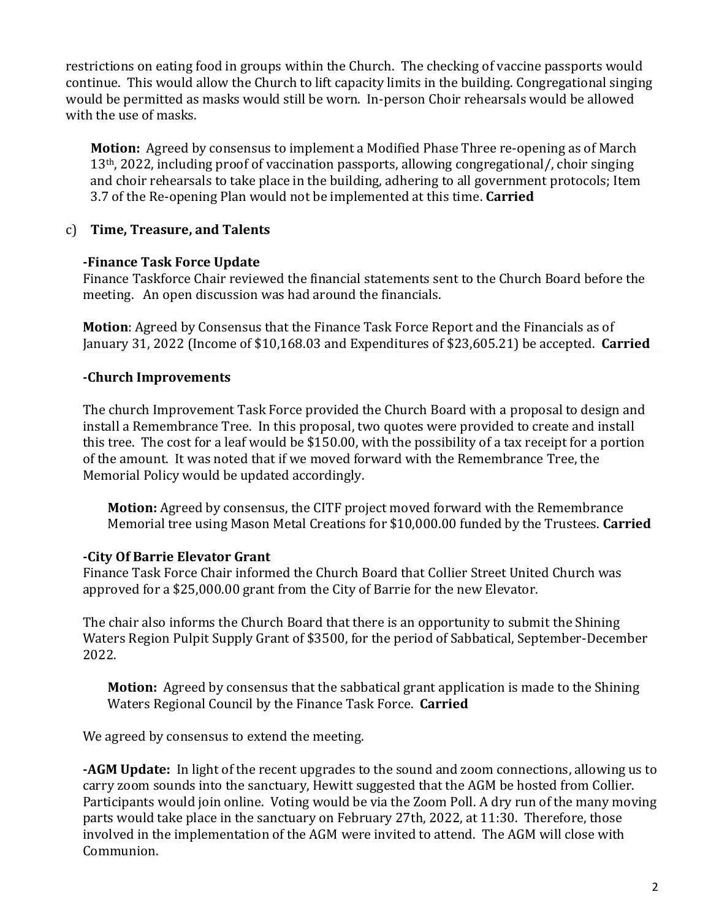restrictions on eating food in groups within the Church. The checking of vaccine passports would continue. This would allow the Church to lift capacity limits in the building. Congregational singing would be permitted as masks would still be worn. In-person Choir rehearsals would be allowed with the use of masks.

**Motion:** Agreed by consensus to implement a Modified Phase Three re-opening as of March 13th, 2022, including proof of vaccination passports, allowing congregational/, choir singing and choir rehearsals to take place in the building, adhering to all government protocols; Item 3.7 of the Re-opening Plan would not be implemented at this time. **Carried**

## c) **Time, Treasure, and Talents**

### **-Finance Task Force Update**

Finance Taskforce Chair reviewed the financial statements sent to the Church Board before the meeting. An open discussion was had around the financials.

**Motion**: Agreed by Consensus that the Finance Task Force Report and the Financials as of January 31, 2022 (Income of \$10,168.03 and Expenditures of \$23,605.21) be accepted. **Carried**

## **-Church Improvements**

The church Improvement Task Force provided the Church Board with a proposal to design and install a Remembrance Tree. In this proposal, two quotes were provided to create and install this tree. The cost for a leaf would be \$150.00, with the possibility of a tax receipt for a portion of the amount. It was noted that if we moved forward with the Remembrance Tree, the Memorial Policy would be updated accordingly.

**Motion:** Agreed by consensus, the CITF project moved forward with the Remembrance Memorial tree using Mason Metal Creations for \$10,000.00 funded by the Trustees. **Carried**

# **-City Of Barrie Elevator Grant**

Finance Task Force Chair informed the Church Board that Collier Street United Church was approved for a \$25,000.00 grant from the City of Barrie for the new Elevator.

The chair also informs the Church Board that there is an opportunity to submit the Shining Waters Region Pulpit Supply Grant of \$3500, for the period of Sabbatical, September-December 2022.

**Motion:** Agreed by consensus that the sabbatical grant application is made to the Shining Waters Regional Council by the Finance Task Force. **Carried**

We agreed by consensus to extend the meeting.

**-AGM Update:** In light of the recent upgrades to the sound and zoom connections, allowing us to carry zoom sounds into the sanctuary, Hewitt suggested that the AGM be hosted from Collier. Participants would join online. Voting would be via the Zoom Poll. A dry run of the many moving parts would take place in the sanctuary on February 27th, 2022, at 11:30. Therefore, those involved in the implementation of the AGM were invited to attend. The AGM will close with Communion.